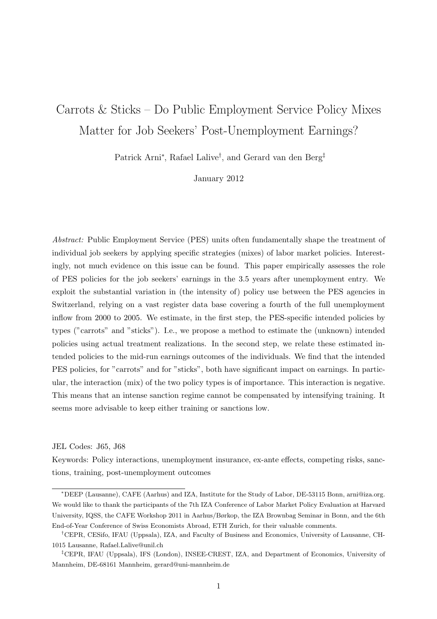# Carrots & Sticks – Do Public Employment Service Policy Mixes Matter for Job Seekers' Post-Unemployment Earnings?

Patrick Arni<sup>∗</sup> , Rafael Lalive† , and Gerard van den Berg‡

January 2012

Abstract: Public Employment Service (PES) units often fundamentally shape the treatment of individual job seekers by applying specific strategies (mixes) of labor market policies. Interestingly, not much evidence on this issue can be found. This paper empirically assesses the role of PES policies for the job seekers' earnings in the 3.5 years after unemployment entry. We exploit the substantial variation in (the intensity of) policy use between the PES agencies in Switzerland, relying on a vast register data base covering a fourth of the full unemployment inflow from 2000 to 2005. We estimate, in the first step, the PES-specific intended policies by types ("carrots" and "sticks"). I.e., we propose a method to estimate the (unknown) intended policies using actual treatment realizations. In the second step, we relate these estimated intended policies to the mid-run earnings outcomes of the individuals. We find that the intended PES policies, for "carrots" and for "sticks", both have significant impact on earnings. In particular, the interaction (mix) of the two policy types is of importance. This interaction is negative. This means that an intense sanction regime cannot be compensated by intensifying training. It seems more advisable to keep either training or sanctions low.

#### JEL Codes: J65, J68

Keywords: Policy interactions, unemployment insurance, ex-ante effects, competing risks, sanctions, training, post-unemployment outcomes

<sup>∗</sup>DEEP (Lausanne), CAFE (Aarhus) and IZA, Institute for the Study of Labor, DE-53115 Bonn, arni@iza.org. We would like to thank the participants of the 7th IZA Conference of Labor Market Policy Evaluation at Harvard University, IQSS, the CAFE Workshop 2011 in Aarhus/Børkop, the IZA Brownbag Seminar in Bonn, and the 6th End-of-Year Conference of Swiss Economists Abroad, ETH Zurich, for their valuable comments.

<sup>†</sup>CEPR, CESifo, IFAU (Uppsala), IZA, and Faculty of Business and Economics, University of Lausanne, CH-1015 Lausanne, Rafael.Lalive@unil.ch

<sup>‡</sup>CEPR, IFAU (Uppsala), IFS (London), INSEE-CREST, IZA, and Department of Economics, University of Mannheim, DE-68161 Mannheim, gerard@uni-mannheim.de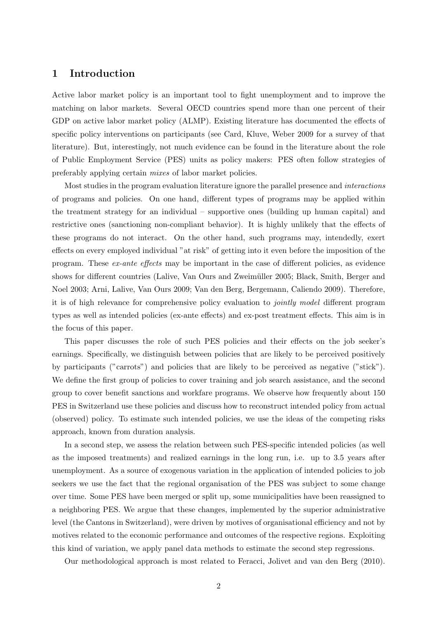### 1 Introduction

Active labor market policy is an important tool to fight unemployment and to improve the matching on labor markets. Several OECD countries spend more than one percent of their GDP on active labor market policy (ALMP). Existing literature has documented the effects of specific policy interventions on participants (see Card, Kluve, Weber 2009 for a survey of that literature). But, interestingly, not much evidence can be found in the literature about the role of Public Employment Service (PES) units as policy makers: PES often follow strategies of preferably applying certain mixes of labor market policies.

Most studies in the program evaluation literature ignore the parallel presence and interactions of programs and policies. On one hand, different types of programs may be applied within the treatment strategy for an individual – supportive ones (building up human capital) and restrictive ones (sanctioning non-compliant behavior). It is highly unlikely that the effects of these programs do not interact. On the other hand, such programs may, intendedly, exert effects on every employed individual "at risk" of getting into it even before the imposition of the program. These ex-ante effects may be important in the case of different policies, as evidence shows for different countries (Lalive, Van Ours and Zweimüller 2005; Black, Smith, Berger and Noel 2003; Arni, Lalive, Van Ours 2009; Van den Berg, Bergemann, Caliendo 2009). Therefore, it is of high relevance for comprehensive policy evaluation to jointly model different program types as well as intended policies (ex-ante effects) and ex-post treatment effects. This aim is in the focus of this paper.

This paper discusses the role of such PES policies and their effects on the job seeker's earnings. Specifically, we distinguish between policies that are likely to be perceived positively by participants ("carrots") and policies that are likely to be perceived as negative ("stick"). We define the first group of policies to cover training and job search assistance, and the second group to cover benefit sanctions and workfare programs. We observe how frequently about 150 PES in Switzerland use these policies and discuss how to reconstruct intended policy from actual (observed) policy. To estimate such intended policies, we use the ideas of the competing risks approach, known from duration analysis.

In a second step, we assess the relation between such PES-specific intended policies (as well as the imposed treatments) and realized earnings in the long run, i.e. up to 3.5 years after unemployment. As a source of exogenous variation in the application of intended policies to job seekers we use the fact that the regional organisation of the PES was subject to some change over time. Some PES have been merged or split up, some municipalities have been reassigned to a neighboring PES. We argue that these changes, implemented by the superior administrative level (the Cantons in Switzerland), were driven by motives of organisational efficiency and not by motives related to the economic performance and outcomes of the respective regions. Exploiting this kind of variation, we apply panel data methods to estimate the second step regressions.

Our methodological approach is most related to Feracci, Jolivet and van den Berg (2010).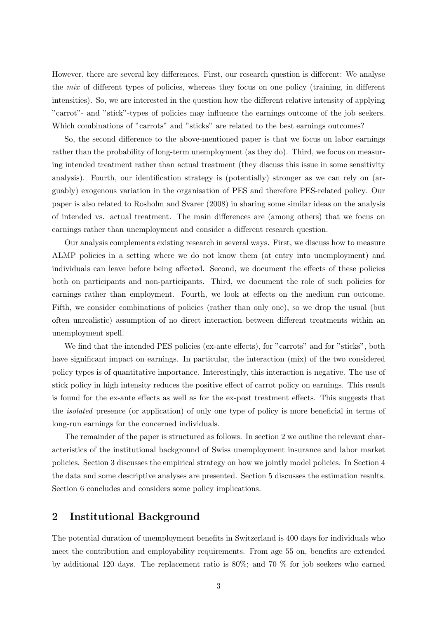However, there are several key differences. First, our research question is different: We analyse the mix of different types of policies, whereas they focus on one policy (training, in different intensities). So, we are interested in the question how the different relative intensity of applying "carrot"- and "stick"-types of policies may influence the earnings outcome of the job seekers. Which combinations of "carrots" and "sticks" are related to the best earnings outcomes?

So, the second difference to the above-mentioned paper is that we focus on labor earnings rather than the probability of long-term unemployment (as they do). Third, we focus on measuring intended treatment rather than actual treatment (they discuss this issue in some sensitivity analysis). Fourth, our identification strategy is (potentially) stronger as we can rely on (arguably) exogenous variation in the organisation of PES and therefore PES-related policy. Our paper is also related to Rosholm and Svarer (2008) in sharing some similar ideas on the analysis of intended vs. actual treatment. The main differences are (among others) that we focus on earnings rather than unemployment and consider a different research question.

Our analysis complements existing research in several ways. First, we discuss how to measure ALMP policies in a setting where we do not know them (at entry into unemployment) and individuals can leave before being affected. Second, we document the effects of these policies both on participants and non-participants. Third, we document the role of such policies for earnings rather than employment. Fourth, we look at effects on the medium run outcome. Fifth, we consider combinations of policies (rather than only one), so we drop the usual (but often unrealistic) assumption of no direct interaction between different treatments within an unemployment spell.

We find that the intended PES policies (ex-ante effects), for "carrots" and for "sticks", both have significant impact on earnings. In particular, the interaction (mix) of the two considered policy types is of quantitative importance. Interestingly, this interaction is negative. The use of stick policy in high intensity reduces the positive effect of carrot policy on earnings. This result is found for the ex-ante effects as well as for the ex-post treatment effects. This suggests that the isolated presence (or application) of only one type of policy is more beneficial in terms of long-run earnings for the concerned individuals.

The remainder of the paper is structured as follows. In section 2 we outline the relevant characteristics of the institutional background of Swiss unemployment insurance and labor market policies. Section 3 discusses the empirical strategy on how we jointly model policies. In Section 4 the data and some descriptive analyses are presented. Section 5 discusses the estimation results. Section 6 concludes and considers some policy implications.

## 2 Institutional Background

The potential duration of unemployment benefits in Switzerland is 400 days for individuals who meet the contribution and employability requirements. From age 55 on, benefits are extended by additional 120 days. The replacement ratio is 80%; and 70 % for job seekers who earned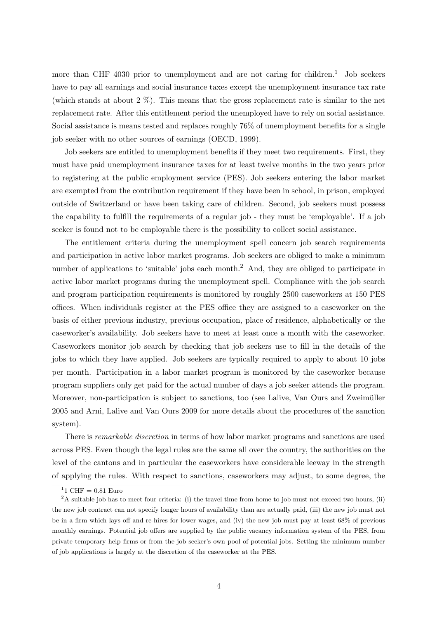more than CHF 4030 prior to unemployment and are not caring for children.<sup>1</sup> Job seekers have to pay all earnings and social insurance taxes except the unemployment insurance tax rate (which stands at about 2 %). This means that the gross replacement rate is similar to the net replacement rate. After this entitlement period the unemployed have to rely on social assistance. Social assistance is means tested and replaces roughly 76% of unemployment benefits for a single job seeker with no other sources of earnings (OECD, 1999).

Job seekers are entitled to unemployment benefits if they meet two requirements. First, they must have paid unemployment insurance taxes for at least twelve months in the two years prior to registering at the public employment service (PES). Job seekers entering the labor market are exempted from the contribution requirement if they have been in school, in prison, employed outside of Switzerland or have been taking care of children. Second, job seekers must possess the capability to fulfill the requirements of a regular job - they must be 'employable'. If a job seeker is found not to be employable there is the possibility to collect social assistance.

The entitlement criteria during the unemployment spell concern job search requirements and participation in active labor market programs. Job seekers are obliged to make a minimum number of applications to 'suitable' jobs each month.<sup>2</sup> And, they are obliged to participate in active labor market programs during the unemployment spell. Compliance with the job search and program participation requirements is monitored by roughly 2500 caseworkers at 150 PES offices. When individuals register at the PES office they are assigned to a caseworker on the basis of either previous industry, previous occupation, place of residence, alphabetically or the caseworker's availability. Job seekers have to meet at least once a month with the caseworker. Caseworkers monitor job search by checking that job seekers use to fill in the details of the jobs to which they have applied. Job seekers are typically required to apply to about 10 jobs per month. Participation in a labor market program is monitored by the caseworker because program suppliers only get paid for the actual number of days a job seeker attends the program. Moreover, non-participation is subject to sanctions, too (see Lalive, Van Ours and Zweimüller 2005 and Arni, Lalive and Van Ours 2009 for more details about the procedures of the sanction system).

There is remarkable discretion in terms of how labor market programs and sanctions are used across PES. Even though the legal rules are the same all over the country, the authorities on the level of the cantons and in particular the caseworkers have considerable leeway in the strength of applying the rules. With respect to sanctions, caseworkers may adjust, to some degree, the

<sup>&</sup>lt;sup>1</sup>1 CHF =  $0.81$  Euro

 $2A$  suitable job has to meet four criteria: (i) the travel time from home to job must not exceed two hours, (ii) the new job contract can not specify longer hours of availability than are actually paid, (iii) the new job must not be in a firm which lays off and re-hires for lower wages, and (iv) the new job must pay at least 68% of previous monthly earnings. Potential job offers are supplied by the public vacancy information system of the PES, from private temporary help firms or from the job seeker's own pool of potential jobs. Setting the minimum number of job applications is largely at the discretion of the caseworker at the PES.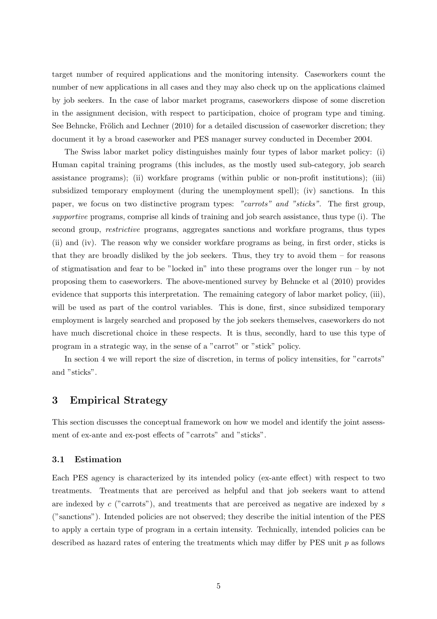target number of required applications and the monitoring intensity. Caseworkers count the number of new applications in all cases and they may also check up on the applications claimed by job seekers. In the case of labor market programs, caseworkers dispose of some discretion in the assignment decision, with respect to participation, choice of program type and timing. See Behncke, Frölich and Lechner  $(2010)$  for a detailed discussion of caseworker discretion; they document it by a broad caseworker and PES manager survey conducted in December 2004.

The Swiss labor market policy distinguishes mainly four types of labor market policy: (i) Human capital training programs (this includes, as the mostly used sub-category, job search assistance programs); (ii) workfare programs (within public or non-profit institutions); (iii) subsidized temporary employment (during the unemployment spell); (iv) sanctions. In this paper, we focus on two distinctive program types: "carrots" and "sticks". The first group, supportive programs, comprise all kinds of training and job search assistance, thus type (i). The second group, restrictive programs, aggregates sanctions and workfare programs, thus types (ii) and (iv). The reason why we consider workfare programs as being, in first order, sticks is that they are broadly disliked by the job seekers. Thus, they try to avoid them – for reasons of stigmatisation and fear to be "locked in" into these programs over the longer run – by not proposing them to caseworkers. The above-mentioned survey by Behncke et al (2010) provides evidence that supports this interpretation. The remaining category of labor market policy, (iii), will be used as part of the control variables. This is done, first, since subsidized temporary employment is largely searched and proposed by the job seekers themselves, caseworkers do not have much discretional choice in these respects. It is thus, secondly, hard to use this type of program in a strategic way, in the sense of a "carrot" or "stick" policy.

In section 4 we will report the size of discretion, in terms of policy intensities, for "carrots" and "sticks".

## 3 Empirical Strategy

This section discusses the conceptual framework on how we model and identify the joint assessment of ex-ante and ex-post effects of "carrots" and "sticks".

#### 3.1 Estimation

Each PES agency is characterized by its intended policy (ex-ante effect) with respect to two treatments. Treatments that are perceived as helpful and that job seekers want to attend are indexed by  $c$  ("carrots"), and treatments that are perceived as negative are indexed by  $s$ ("sanctions"). Intended policies are not observed; they describe the initial intention of the PES to apply a certain type of program in a certain intensity. Technically, intended policies can be described as hazard rates of entering the treatments which may differ by PES unit  $p$  as follows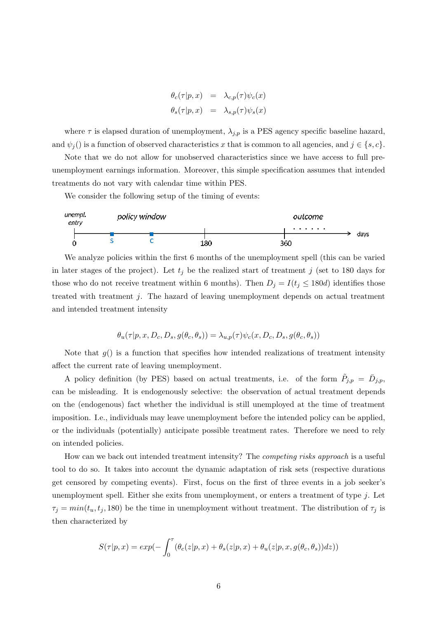$$
\theta_c(\tau|p, x) = \lambda_{c,p}(\tau)\psi_c(x)
$$
  

$$
\theta_s(\tau|p, x) = \lambda_{s,p}(\tau)\psi_s(x)
$$

where  $\tau$  is elapsed duration of unemployment,  $\lambda_{j,p}$  is a PES agency specific baseline hazard, and  $\psi_j()$  is a function of observed characteristics x that is common to all agencies, and  $j \in \{s, c\}$ .

Note that we do not allow for unobserved characteristics since we have access to full preunemployment earnings information. Moreover, this simple specification assumes that intended treatments do not vary with calendar time within PES.

We consider the following setup of the timing of events:



We analyze policies within the first 6 months of the unemployment spell (this can be varied in later stages of the project). Let  $t_j$  be the realized start of treatment j (set to 180 days for those who do not receive treatment within 6 months). Then  $D_j = I(t_j \leq 180d)$  identifies those treated with treatment j. The hazard of leaving unemployment depends on actual treatment and intended treatment intensity

$$
\theta_u(\tau|p, x, D_c, D_s, g(\theta_c, \theta_s)) = \lambda_{u,p}(\tau)\psi_c(x, D_c, D_s, g(\theta_c, \theta_s))
$$

Note that  $g()$  is a function that specifies how intended realizations of treatment intensity affect the current rate of leaving unemployment.

A policy definition (by PES) based on actual treatments, i.e. of the form  $\tilde{P}_{j,p} = \bar{D}_{j,p}$ , can be misleading. It is endogenously selective: the observation of actual treatment depends on the (endogenous) fact whether the individual is still unemployed at the time of treatment imposition. I.e., individuals may leave unemployment before the intended policy can be applied, or the individuals (potentially) anticipate possible treatment rates. Therefore we need to rely on intended policies.

How can we back out intended treatment intensity? The competing risks approach is a useful tool to do so. It takes into account the dynamic adaptation of risk sets (respective durations get censored by competing events). First, focus on the first of three events in a job seeker's unemployment spell. Either she exits from unemployment, or enters a treatment of type j. Let  $\tau_j = min(t_u, t_j, 180)$  be the time in unemployment without treatment. The distribution of  $\tau_j$  is then characterized by

$$
S(\tau|p, x) = exp(-\int_0^{\tau} (\theta_c(z|p, x) + \theta_s(z|p, x) + \theta_u(z|p, x, g(\theta_c, \theta_s))dz))
$$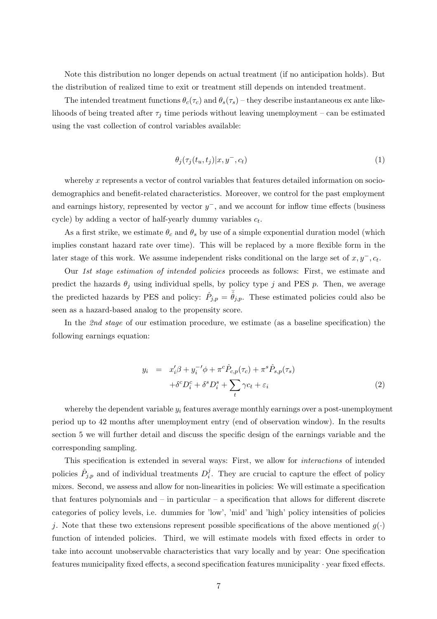Note this distribution no longer depends on actual treatment (if no anticipation holds). But the distribution of realized time to exit or treatment still depends on intended treatment.

The intended treatment functions  $\theta_c(\tau_c)$  and  $\theta_s(\tau_s)$  – they describe instantaneous ex ante likelihoods of being treated after  $\tau_j$  time periods without leaving unemployment – can be estimated using the vast collection of control variables available:

$$
\theta_j(\tau_j(t_u, t_j)|x, y^-, c_t) \tag{1}
$$

whereby  $x$  represents a vector of control variables that features detailed information on sociodemographics and benefit-related characteristics. Moreover, we control for the past employment and earnings history, represented by vector  $y^-$ , and we account for inflow time effects (business cycle) by adding a vector of half-yearly dummy variables  $c_t$ .

As a first strike, we estimate  $\theta_c$  and  $\theta_s$  by use of a simple exponential duration model (which implies constant hazard rate over time). This will be replaced by a more flexible form in the later stage of this work. We assume independent risks conditional on the large set of  $x, y^-, c_t$ .

Our 1st stage estimation of intended policies proceeds as follows: First, we estimate and predict the hazards  $\theta_j$  using individual spells, by policy type j and PES p. Then, we average the predicted hazards by PES and policy:  $\hat{P}_{j,p} = \bar{\hat{\theta}}_{j,p}$ . These estimated policies could also be seen as a hazard-based analog to the propensity score.

In the 2nd stage of our estimation procedure, we estimate (as a baseline specification) the following earnings equation:

$$
y_i = x_i'\beta + y_i^{-1}\phi + \pi^c \hat{P}_{c,p}(\tau_c) + \pi^s \hat{P}_{s,p}(\tau_s)
$$
  
+ 
$$
\delta^c D_i^c + \delta^s D_i^s + \sum_t \gamma c_t + \varepsilon_i
$$
 (2)

whereby the dependent variable  $y_i$  features average monthly earnings over a post-unemployment period up to 42 months after unemployment entry (end of observation window). In the results section 5 we will further detail and discuss the specific design of the earnings variable and the corresponding sampling.

This specification is extended in several ways: First, we allow for interactions of intended policies  $\hat{P}_{j,p}$  and of individual treatments  $D_i^j$  $i<sub>i</sub>$ . They are crucial to capture the effect of policy mixes. Second, we assess and allow for non-linearities in policies: We will estimate a specification that features polynomials and  $-$  in particular  $-$  a specification that allows for different discrete categories of policy levels, i.e. dummies for 'low', 'mid' and 'high' policy intensities of policies j. Note that these two extensions represent possible specifications of the above mentioned  $g(\cdot)$ function of intended policies. Third, we will estimate models with fixed effects in order to take into account unobservable characteristics that vary locally and by year: One specification features municipality fixed effects, a second specification features municipality · year fixed effects.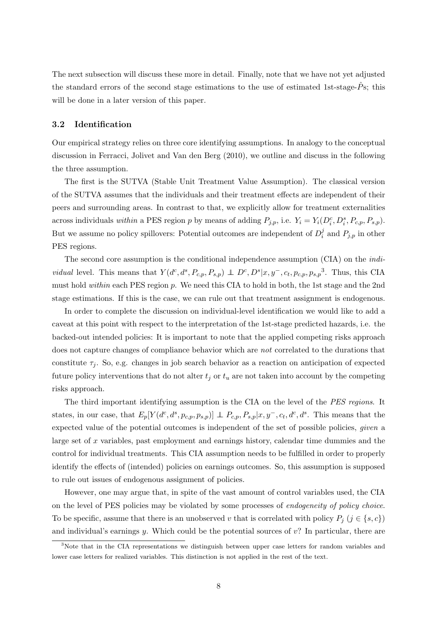The next subsection will discuss these more in detail. Finally, note that we have not yet adjusted the standard errors of the second stage estimations to the use of estimated 1st-stage- $\hat{P}$ s; this will be done in a later version of this paper.

#### 3.2 Identification

Our empirical strategy relies on three core identifying assumptions. In analogy to the conceptual discussion in Ferracci, Jolivet and Van den Berg (2010), we outline and discuss in the following the three assumption.

The first is the SUTVA (Stable Unit Treatment Value Assumption). The classical version of the SUTVA assumes that the individuals and their treatment effects are independent of their peers and surrounding areas. In contrast to that, we explicitly allow for treatment externalities across individuals within a PES region p by means of adding  $P_{j,p}$ , i.e.  $Y_i = Y_i(D_i^c, D_i^s, P_{c,p}, P_{s,p})$ . But we assume no policy spillovers: Potential outcomes are independent of  $D_i^j$  $i<sup>j</sup>$  and  $P_{j,p}$  in other PES regions.

The second core assumption is the conditional independence assumption (CIA) on the indi*vidual* level. This means that  $Y(d^c, d^s, P_{c,p}, P_{s,p}) \perp D^c, D^s|x, y^-, c_t, p_{c,p}, p_{s,p}^3$ . Thus, this CIA must hold within each PES region p. We need this CIA to hold in both, the 1st stage and the 2nd stage estimations. If this is the case, we can rule out that treatment assignment is endogenous.

In order to complete the discussion on individual-level identification we would like to add a caveat at this point with respect to the interpretation of the 1st-stage predicted hazards, i.e. the backed-out intended policies: It is important to note that the applied competing risks approach does not capture changes of compliance behavior which are *not* correlated to the durations that constitute  $\tau_i$ . So, e.g. changes in job search behavior as a reaction on anticipation of expected future policy interventions that do not alter  $t_j$  or  $t_u$  are not taken into account by the competing risks approach.

The third important identifying assumption is the CIA on the level of the PES regions. It states, in our case, that  $E_p[Y(d^c, d^s, p_{c,p}, p_{s,p})] \perp P_{c,p}, P_{s,p}|x, y^-, c_t, d^c, d^s$ . This means that the expected value of the potential outcomes is independent of the set of possible policies, *given* a large set of x variables, past employment and earnings history, calendar time dummies and the control for individual treatments. This CIA assumption needs to be fulfilled in order to properly identify the effects of (intended) policies on earnings outcomes. So, this assumption is supposed to rule out issues of endogenous assignment of policies.

However, one may argue that, in spite of the vast amount of control variables used, the CIA on the level of PES policies may be violated by some processes of endogeneity of policy choice. To be specific, assume that there is an unobserved v that is correlated with policy  $P_i$   $(j \in \{s, c\})$ and individual's earnings y. Which could be the potential sources of  $v$ ? In particular, there are

<sup>&</sup>lt;sup>3</sup>Note that in the CIA representations we distinguish between upper case letters for random variables and lower case letters for realized variables. This distinction is not applied in the rest of the text.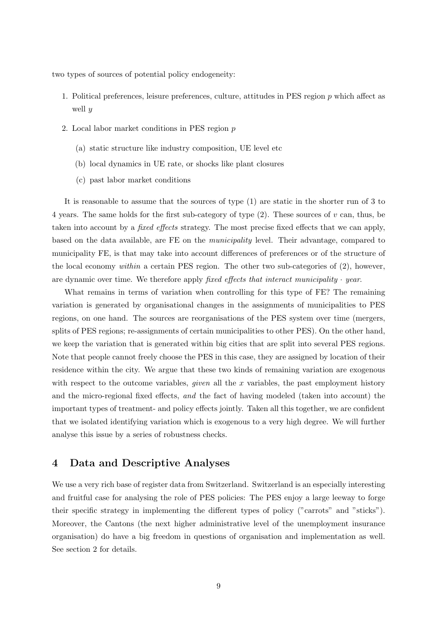two types of sources of potential policy endogeneity:

- 1. Political preferences, leisure preferences, culture, attitudes in PES region p which affect as well  $y$
- 2. Local labor market conditions in PES region p
	- (a) static structure like industry composition, UE level etc
	- (b) local dynamics in UE rate, or shocks like plant closures
	- (c) past labor market conditions

It is reasonable to assume that the sources of type (1) are static in the shorter run of 3 to 4 years. The same holds for the first sub-category of type  $(2)$ . These sources of v can, thus, be taken into account by a fixed effects strategy. The most precise fixed effects that we can apply, based on the data available, are FE on the municipality level. Their advantage, compared to municipality FE, is that may take into account differences of preferences or of the structure of the local economy within a certain PES region. The other two sub-categories of (2), however, are dynamic over time. We therefore apply fixed effects that interact municipality  $\cdot$  year.

What remains in terms of variation when controlling for this type of FE? The remaining variation is generated by organisational changes in the assignments of municipalities to PES regions, on one hand. The sources are reorganisations of the PES system over time (mergers, splits of PES regions; re-assignments of certain municipalities to other PES). On the other hand, we keep the variation that is generated within big cities that are split into several PES regions. Note that people cannot freely choose the PES in this case, they are assigned by location of their residence within the city. We argue that these two kinds of remaining variation are exogenous with respect to the outcome variables, *given* all the x variables, the past employment history and the micro-regional fixed effects, and the fact of having modeled (taken into account) the important types of treatment- and policy effects jointly. Taken all this together, we are confident that we isolated identifying variation which is exogenous to a very high degree. We will further analyse this issue by a series of robustness checks.

### 4 Data and Descriptive Analyses

We use a very rich base of register data from Switzerland. Switzerland is an especially interesting and fruitful case for analysing the role of PES policies: The PES enjoy a large leeway to forge their specific strategy in implementing the different types of policy ("carrots" and "sticks"). Moreover, the Cantons (the next higher administrative level of the unemployment insurance organisation) do have a big freedom in questions of organisation and implementation as well. See section 2 for details.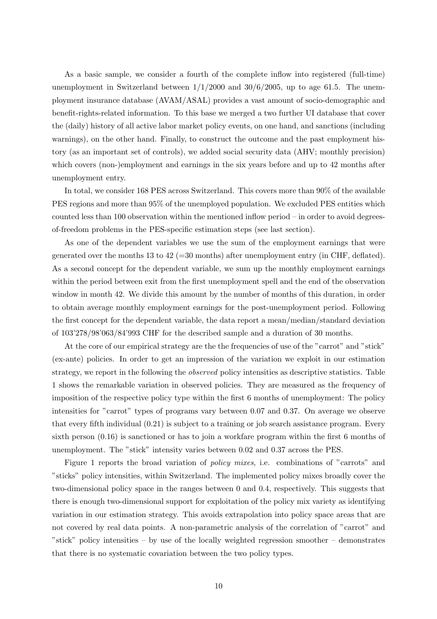As a basic sample, we consider a fourth of the complete inflow into registered (full-time) unemployment in Switzerland between  $1/1/2000$  and  $30/6/2005$ , up to age 61.5. The unemployment insurance database (AVAM/ASAL) provides a vast amount of socio-demographic and benefit-rights-related information. To this base we merged a two further UI database that cover the (daily) history of all active labor market policy events, on one hand, and sanctions (including warnings), on the other hand. Finally, to construct the outcome and the past employment history (as an important set of controls), we added social security data (AHV; monthly precision) which covers (non-)employment and earnings in the six years before and up to 42 months after unemployment entry.

In total, we consider 168 PES across Switzerland. This covers more than 90% of the available PES regions and more than 95% of the unemployed population. We excluded PES entities which counted less than 100 observation within the mentioned inflow period – in order to avoid degreesof-freedom problems in the PES-specific estimation steps (see last section).

As one of the dependent variables we use the sum of the employment earnings that were generated over the months 13 to 42 ( $=$ 30 months) after unemployment entry (in CHF, deflated). As a second concept for the dependent variable, we sum up the monthly employment earnings within the period between exit from the first unemployment spell and the end of the observation window in month 42. We divide this amount by the number of months of this duration, in order to obtain average monthly employment earnings for the post-unemployment period. Following the first concept for the dependent variable, the data report a mean/median/standard deviation of 103'278/98'063/84'993 CHF for the described sample and a duration of 30 months.

At the core of our empirical strategy are the the frequencies of use of the "carrot" and "stick" (ex-ante) policies. In order to get an impression of the variation we exploit in our estimation strategy, we report in the following the *observed* policy intensities as descriptive statistics. Table 1 shows the remarkable variation in observed policies. They are measured as the frequency of imposition of the respective policy type within the first 6 months of unemployment: The policy intensities for "carrot" types of programs vary between 0.07 and 0.37. On average we observe that every fifth individual (0.21) is subject to a training or job search assistance program. Every sixth person (0.16) is sanctioned or has to join a workfare program within the first 6 months of unemployment. The "stick" intensity varies between 0.02 and 0.37 across the PES.

Figure 1 reports the broad variation of policy mixes, i.e. combinations of "carrots" and "sticks" policy intensities, within Switzerland. The implemented policy mixes broadly cover the two-dimensional policy space in the ranges between 0 and 0.4, respectively. This suggests that there is enough two-dimensional support for exploitation of the policy mix variety as identifying variation in our estimation strategy. This avoids extrapolation into policy space areas that are not covered by real data points. A non-parametric analysis of the correlation of "carrot" and "stick" policy intensities – by use of the locally weighted regression smoother – demonstrates that there is no systematic covariation between the two policy types.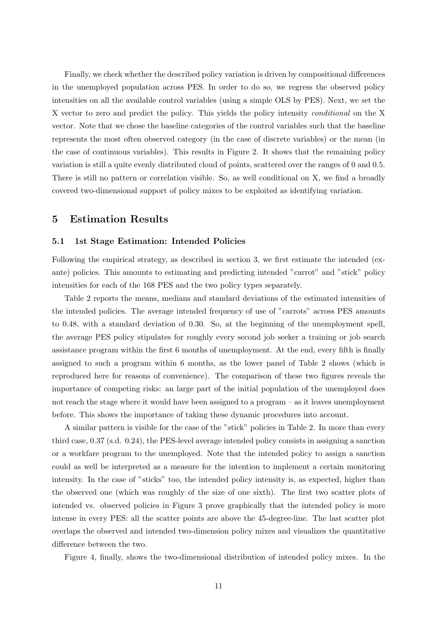Finally, we check whether the described policy variation is driven by compositional differences in the unemployed population across PES. In order to do so, we regress the observed policy intensities on all the available control variables (using a simple OLS by PES). Next, we set the X vector to zero and predict the policy. This yields the policy intensity *conditional* on the X vector. Note that we chose the baseline categories of the control variables such that the baseline represents the most often observed category (in the case of discrete variables) or the mean (in the case of continuous variables). This results in Figure 2. It shows that the remaining policy variation is still a quite evenly distributed cloud of points, scattered over the ranges of 0 and 0.5. There is still no pattern or correlation visible. So, as well conditional on X, we find a broadly covered two-dimensional support of policy mixes to be exploited as identifying variation.

### 5 Estimation Results

#### 5.1 1st Stage Estimation: Intended Policies

Following the empirical strategy, as described in section 3, we first estimate the intended (exante) policies. This amounts to estimating and predicting intended "carrot" and "stick" policy intensities for each of the 168 PES and the two policy types separately.

Table 2 reports the means, medians and standard deviations of the estimated intensities of the intended policies. The average intended frequency of use of "carrots" across PES amounts to 0.48, with a standard deviation of 0.30. So, at the beginning of the unemployment spell, the average PES policy stipulates for roughly every second job seeker a training or job search assistance program within the first 6 months of unemployment. At the end, every fifth is finally assigned to such a program within 6 months, as the lower panel of Table 2 shows (which is reproduced here for reasons of convenience). The comparison of these two figures reveals the importance of competing risks: an large part of the initial population of the unemployed does not reach the stage where it would have been assigned to a program – as it leaves unemployment before. This shows the importance of taking these dynamic procedures into account.

A similar pattern is visible for the case of the "stick" policies in Table 2. In more than every third case, 0.37 (s.d. 0.24), the PES-level average intended policy consists in assigning a sanction or a workfare program to the unemployed. Note that the intended policy to assign a sanction could as well be interpreted as a measure for the intention to implement a certain monitoring intensity. In the case of "sticks" too, the intended policy intensity is, as expected, higher than the observed one (which was roughly of the size of one sixth). The first two scatter plots of intended vs. observed policies in Figure 3 prove graphically that the intended policy is more intense in every PES: all the scatter points are above the 45-degree-line. The last scatter plot overlaps the observed and intended two-dimension policy mixes and visualizes the quantitative difference between the two.

Figure 4, finally, shows the two-dimensional distribution of intended policy mixes. In the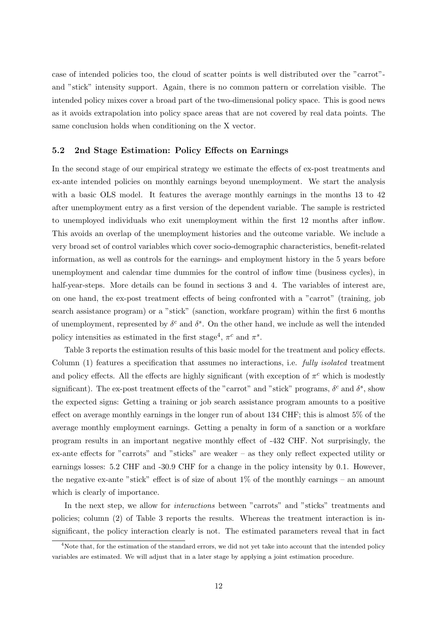case of intended policies too, the cloud of scatter points is well distributed over the "carrot" and "stick" intensity support. Again, there is no common pattern or correlation visible. The intended policy mixes cover a broad part of the two-dimensional policy space. This is good news as it avoids extrapolation into policy space areas that are not covered by real data points. The same conclusion holds when conditioning on the X vector.

#### 5.2 2nd Stage Estimation: Policy Effects on Earnings

In the second stage of our empirical strategy we estimate the effects of ex-post treatments and ex-ante intended policies on monthly earnings beyond unemployment. We start the analysis with a basic OLS model. It features the average monthly earnings in the months 13 to 42 after unemployment entry as a first version of the dependent variable. The sample is restricted to unemployed individuals who exit unemployment within the first 12 months after inflow. This avoids an overlap of the unemployment histories and the outcome variable. We include a very broad set of control variables which cover socio-demographic characteristics, benefit-related information, as well as controls for the earnings- and employment history in the 5 years before unemployment and calendar time dummies for the control of inflow time (business cycles), in half-year-steps. More details can be found in sections 3 and 4. The variables of interest are, on one hand, the ex-post treatment effects of being confronted with a "carrot" (training, job search assistance program) or a "stick" (sanction, workfare program) within the first 6 months of unemployment, represented by  $\delta^c$  and  $\delta^s$ . On the other hand, we include as well the intended policy intensities as estimated in the first stage<sup>4</sup>,  $\pi^c$  and  $\pi^s$ .

Table 3 reports the estimation results of this basic model for the treatment and policy effects. Column (1) features a specification that assumes no interactions, i.e. fully isolated treatment and policy effects. All the effects are highly significant (with exception of  $\pi^c$  which is modestly significant). The ex-post treatment effects of the "carrot" and "stick" programs,  $\delta^c$  and  $\delta^s$ , show the expected signs: Getting a training or job search assistance program amounts to a positive effect on average monthly earnings in the longer run of about 134 CHF; this is almost 5% of the average monthly employment earnings. Getting a penalty in form of a sanction or a workfare program results in an important negative monthly effect of -432 CHF. Not surprisingly, the ex-ante effects for "carrots" and "sticks" are weaker – as they only reflect expected utility or earnings losses: 5.2 CHF and -30.9 CHF for a change in the policy intensity by 0.1. However, the negative ex-ante "stick" effect is of size of about  $1\%$  of the monthly earnings – an amount which is clearly of importance.

In the next step, we allow for *interactions* between "carrots" and "sticks" treatments and policies; column (2) of Table 3 reports the results. Whereas the treatment interaction is insignificant, the policy interaction clearly is not. The estimated parameters reveal that in fact

<sup>&</sup>lt;sup>4</sup>Note that, for the estimation of the standard errors, we did not yet take into account that the intended policy variables are estimated. We will adjust that in a later stage by applying a joint estimation procedure.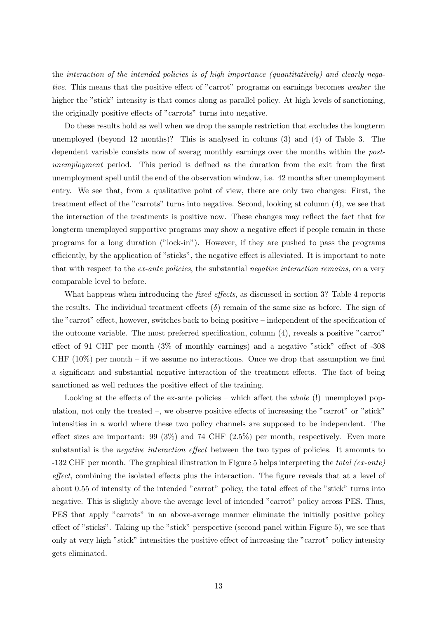the interaction of the intended policies is of high importance (quantitatively) and clearly negative. This means that the positive effect of "carrot" programs on earnings becomes weaker the higher the "stick" intensity is that comes along as parallel policy. At high levels of sanctioning, the originally positive effects of "carrots" turns into negative.

Do these results hold as well when we drop the sample restriction that excludes the longterm unemployed (beyond 12 months)? This is analysed in colums (3) and (4) of Table 3. The dependent variable consists now of averag monthly earnings over the months within the postunemployment period. This period is defined as the duration from the exit from the first unemployment spell until the end of the observation window, i.e. 42 months after unemployment entry. We see that, from a qualitative point of view, there are only two changes: First, the treatment effect of the "carrots" turns into negative. Second, looking at column (4), we see that the interaction of the treatments is positive now. These changes may reflect the fact that for longterm unemployed supportive programs may show a negative effect if people remain in these programs for a long duration ("lock-in"). However, if they are pushed to pass the programs efficiently, by the application of "sticks", the negative effect is alleviated. It is important to note that with respect to the *ex-ante policies*, the substantial *negative interaction remains*, on a very comparable level to before.

What happens when introducing the *fixed effects*, as discussed in section 3? Table 4 reports the results. The individual treatment effects  $(\delta)$  remain of the same size as before. The sign of the "carrot" effect, however, switches back to being positive – independent of the specification of the outcome variable. The most preferred specification, column (4), reveals a positive "carrot" effect of 91 CHF per month (3% of monthly earnings) and a negative "stick" effect of -308 CHF  $(10\%)$  per month – if we assume no interactions. Once we drop that assumption we find a significant and substantial negative interaction of the treatment effects. The fact of being sanctioned as well reduces the positive effect of the training.

Looking at the effects of the ex-ante policies – which affect the *whole* (!) unemployed population, not only the treated –, we observe positive effects of increasing the "carrot" or "stick" intensities in a world where these two policy channels are supposed to be independent. The effect sizes are important: 99 ( $3\%$ ) and 74 CHF ( $2.5\%$ ) per month, respectively. Even more substantial is the negative interaction effect between the two types of policies. It amounts to  $-132$  CHF per month. The graphical illustration in Figure 5 helps interpreting the total (ex-ante) effect, combining the isolated effects plus the interaction. The figure reveals that at a level of about 0.55 of intensity of the intended "carrot" policy, the total effect of the "stick" turns into negative. This is slightly above the average level of intended "carrot" policy across PES. Thus, PES that apply "carrots" in an above-average manner eliminate the initially positive policy effect of "sticks". Taking up the "stick" perspective (second panel within Figure 5), we see that only at very high "stick" intensities the positive effect of increasing the "carrot" policy intensity gets eliminated.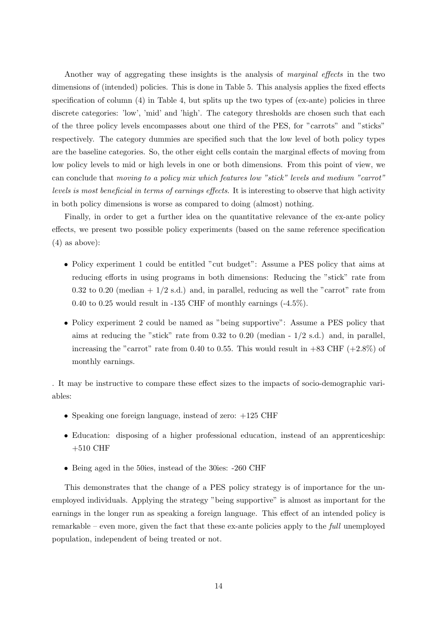Another way of aggregating these insights is the analysis of marginal effects in the two dimensions of (intended) policies. This is done in Table 5. This analysis applies the fixed effects specification of column (4) in Table 4, but splits up the two types of (ex-ante) policies in three discrete categories: 'low', 'mid' and 'high'. The category thresholds are chosen such that each of the three policy levels encompasses about one third of the PES, for "carrots" and "sticks" respectively. The category dummies are specified such that the low level of both policy types are the baseline categories. So, the other eight cells contain the marginal effects of moving from low policy levels to mid or high levels in one or both dimensions. From this point of view, we can conclude that moving to a policy mix which features low "stick" levels and medium "carrot" levels is most beneficial in terms of earnings effects. It is interesting to observe that high activity in both policy dimensions is worse as compared to doing (almost) nothing.

Finally, in order to get a further idea on the quantitative relevance of the ex-ante policy effects, we present two possible policy experiments (based on the same reference specification (4) as above):

- Policy experiment 1 could be entitled "cut budget": Assume a PES policy that aims at reducing efforts in using programs in both dimensions: Reducing the "stick" rate from 0.32 to 0.20 (median  $+1/2$  s.d.) and, in parallel, reducing as well the "carrot" rate from 0.40 to 0.25 would result in -135 CHF of monthly earnings (-4.5%).
- Policy experiment 2 could be named as "being supportive": Assume a PES policy that aims at reducing the "stick" rate from  $0.32$  to  $0.20$  (median -  $1/2$  s.d.) and, in parallel, increasing the "carrot" rate from 0.40 to 0.55. This would result in  $+83$  CHF ( $+2.8\%$ ) of monthly earnings.

. It may be instructive to compare these effect sizes to the impacts of socio-demographic variables:

- Speaking one foreign language, instead of zero:  $+125$  CHF
- Education: disposing of a higher professional education, instead of an apprenticeship:  $+510$  CHF
- Being aged in the 50ies, instead of the 30ies: -260 CHF

This demonstrates that the change of a PES policy strategy is of importance for the unemployed individuals. Applying the strategy "being supportive" is almost as important for the earnings in the longer run as speaking a foreign language. This effect of an intended policy is remarkable – even more, given the fact that these ex-ante policies apply to the *full* unemployed population, independent of being treated or not.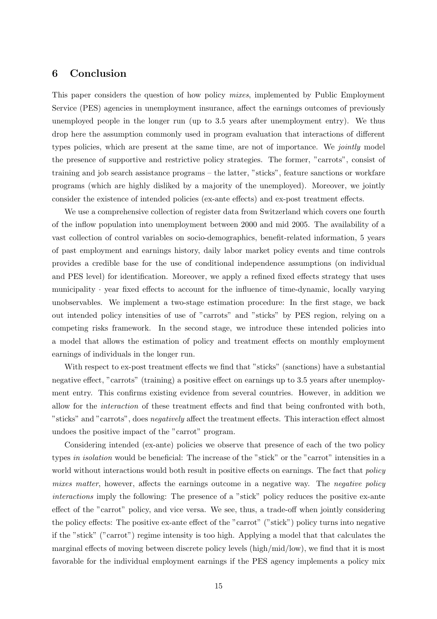### 6 Conclusion

This paper considers the question of how policy mixes, implemented by Public Employment Service (PES) agencies in unemployment insurance, affect the earnings outcomes of previously unemployed people in the longer run (up to 3.5 years after unemployment entry). We thus drop here the assumption commonly used in program evaluation that interactions of different types policies, which are present at the same time, are not of importance. We jointly model the presence of supportive and restrictive policy strategies. The former, "carrots", consist of training and job search assistance programs – the latter, "sticks", feature sanctions or workfare programs (which are highly disliked by a majority of the unemployed). Moreover, we jointly consider the existence of intended policies (ex-ante effects) and ex-post treatment effects.

We use a comprehensive collection of register data from Switzerland which covers one fourth of the inflow population into unemployment between 2000 and mid 2005. The availability of a vast collection of control variables on socio-demographics, benefit-related information, 5 years of past employment and earnings history, daily labor market policy events and time controls provides a credible base for the use of conditional independence assumptions (on individual and PES level) for identification. Moreover, we apply a refined fixed effects strategy that uses municipality  $\cdot$  year fixed effects to account for the influence of time-dynamic, locally varying unobservables. We implement a two-stage estimation procedure: In the first stage, we back out intended policy intensities of use of "carrots" and "sticks" by PES region, relying on a competing risks framework. In the second stage, we introduce these intended policies into a model that allows the estimation of policy and treatment effects on monthly employment earnings of individuals in the longer run.

With respect to ex-post treatment effects we find that "sticks" (sanctions) have a substantial negative effect, "carrots" (training) a positive effect on earnings up to 3.5 years after unemployment entry. This confirms existing evidence from several countries. However, in addition we allow for the interaction of these treatment effects and find that being confronted with both, "sticks" and "carrots", does negatively affect the treatment effects. This interaction effect almost undoes the positive impact of the "carrot" program.

Considering intended (ex-ante) policies we observe that presence of each of the two policy types in isolation would be beneficial: The increase of the "stick" or the "carrot" intensities in a world without interactions would both result in positive effects on earnings. The fact that *policy* mixes matter, however, affects the earnings outcome in a negative way. The negative policy interactions imply the following: The presence of a "stick" policy reduces the positive ex-ante effect of the "carrot" policy, and vice versa. We see, thus, a trade-off when jointly considering the policy effects: The positive ex-ante effect of the "carrot" ("stick") policy turns into negative if the "stick" ("carrot") regime intensity is too high. Applying a model that that calculates the marginal effects of moving between discrete policy levels (high/mid/low), we find that it is most favorable for the individual employment earnings if the PES agency implements a policy mix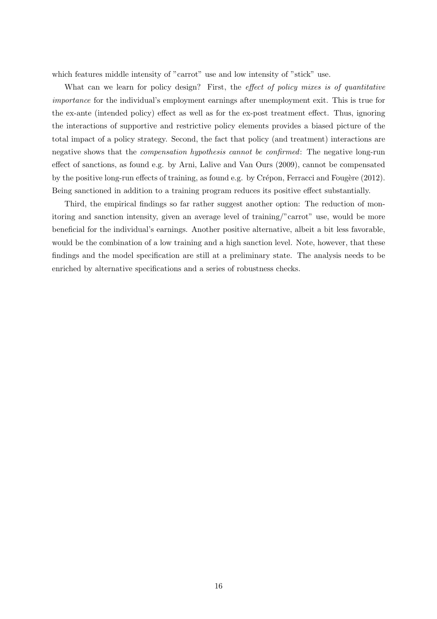which features middle intensity of "carrot" use and low intensity of "stick" use.

What can we learn for policy design? First, the effect of policy mixes is of quantitative importance for the individual's employment earnings after unemployment exit. This is true for the ex-ante (intended policy) effect as well as for the ex-post treatment effect. Thus, ignoring the interactions of supportive and restrictive policy elements provides a biased picture of the total impact of a policy strategy. Second, the fact that policy (and treatment) interactions are negative shows that the compensation hypothesis cannot be confirmed: The negative long-run effect of sanctions, as found e.g. by Arni, Lalive and Van Ours (2009), cannot be compensated by the positive long-run effects of training, as found e.g. by Crépon, Ferracci and Fougère (2012). Being sanctioned in addition to a training program reduces its positive effect substantially.

Third, the empirical findings so far rather suggest another option: The reduction of monitoring and sanction intensity, given an average level of training/"carrot" use, would be more beneficial for the individual's earnings. Another positive alternative, albeit a bit less favorable, would be the combination of a low training and a high sanction level. Note, however, that these findings and the model specification are still at a preliminary state. The analysis needs to be enriched by alternative specifications and a series of robustness checks.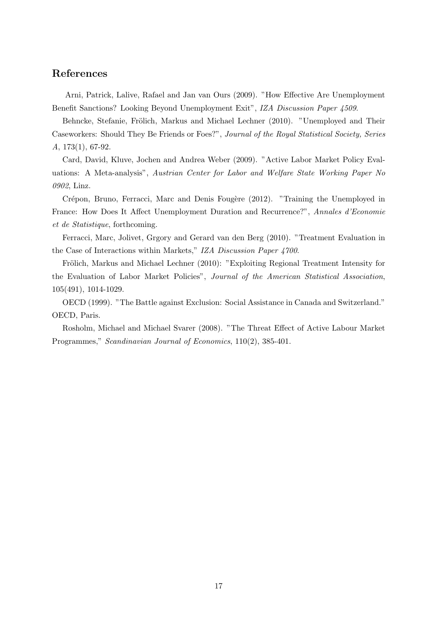## References

Arni, Patrick, Lalive, Rafael and Jan van Ours (2009). "How Effective Are Unemployment Benefit Sanctions? Looking Beyond Unemployment Exit", IZA Discussion Paper 4509.

Behncke, Stefanie, Frölich, Markus and Michael Lechner (2010). "Unemployed and Their Caseworkers: Should They Be Friends or Foes?", Journal of the Royal Statistical Society, Series A, 173(1), 67-92.

Card, David, Kluve, Jochen and Andrea Weber (2009). "Active Labor Market Policy Evaluations: A Meta-analysis", Austrian Center for Labor and Welfare State Working Paper No 0902, Linz.

Crépon, Bruno, Ferracci, Marc and Denis Fougère (2012). "Training the Unemployed in France: How Does It Affect Unemployment Duration and Recurrence?", Annales d'Economie et de Statistique, forthcoming.

Ferracci, Marc, Jolivet, Grgory and Gerard van den Berg (2010). "Treatment Evaluation in the Case of Interactions within Markets," IZA Discussion Paper 4700.

Frölich, Markus and Michael Lechner (2010): "Exploiting Regional Treatment Intensity for the Evaluation of Labor Market Policies", Journal of the American Statistical Association, 105(491), 1014-1029.

OECD (1999). "The Battle against Exclusion: Social Assistance in Canada and Switzerland." OECD, Paris.

Rosholm, Michael and Michael Svarer (2008). "The Threat Effect of Active Labour Market Programmes," Scandinavian Journal of Economics, 110(2), 385-401.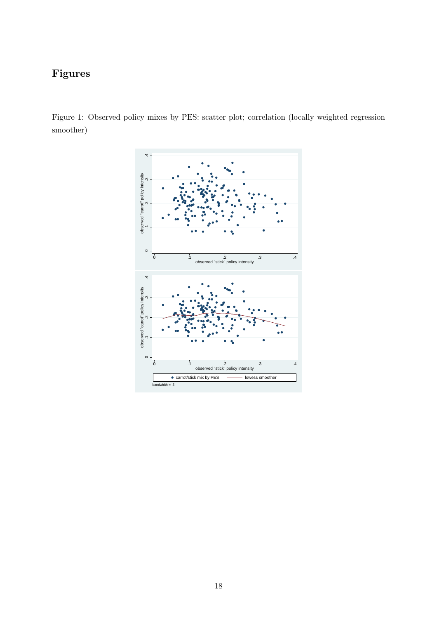## Figures

Figure 1: Observed policy mixes by PES: scatter plot; correlation (locally weighted regression smoother)

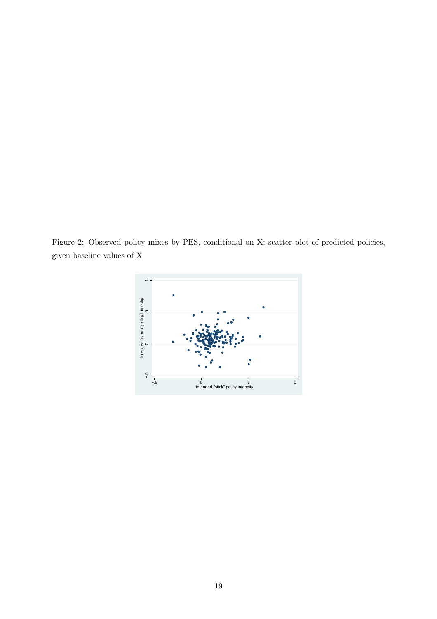Figure 2: Observed policy mixes by PES, conditional on X: scatter plot of predicted policies, given baseline values of X

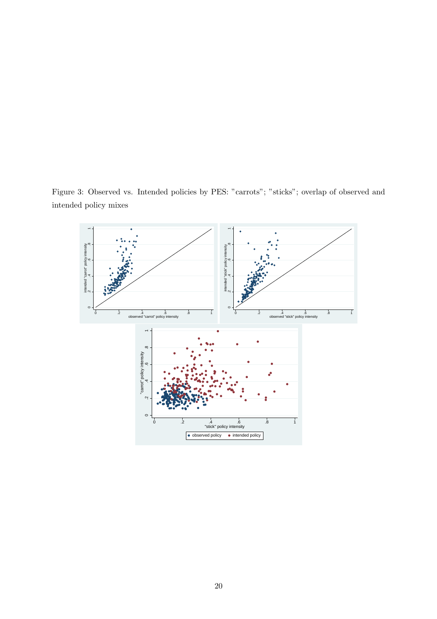Figure 3: Observed vs. Intended policies by PES: "carrots"; "sticks"; overlap of observed and intended policy mixes

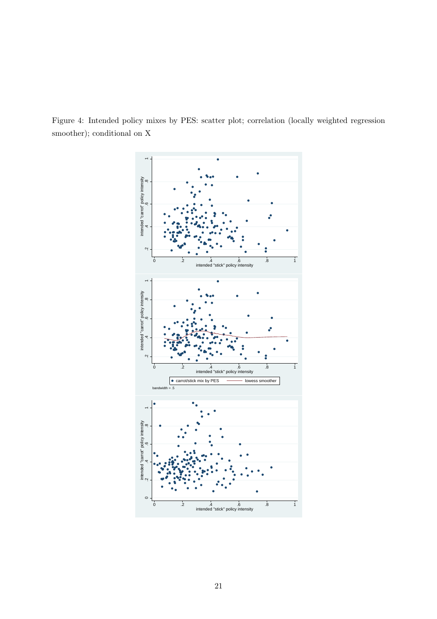Figure 4: Intended policy mixes by PES: scatter plot; correlation (locally weighted regression smoother); conditional on X

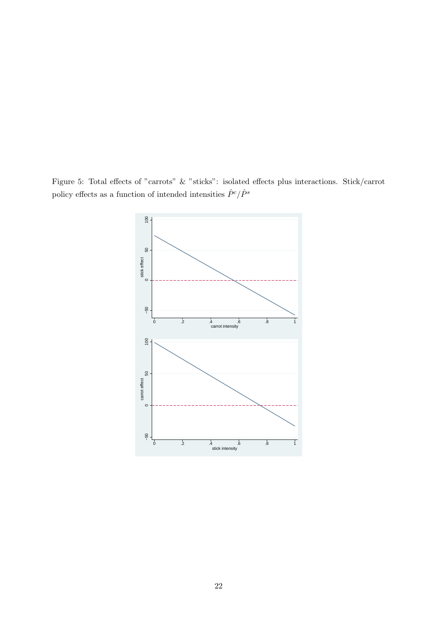Figure 5: Total effects of "carrots" & "sticks": isolated effects plus interactions. Stick/carrot policy effects as a function of intended intensities  $\hat{P}^c/\hat{P}^s$ 

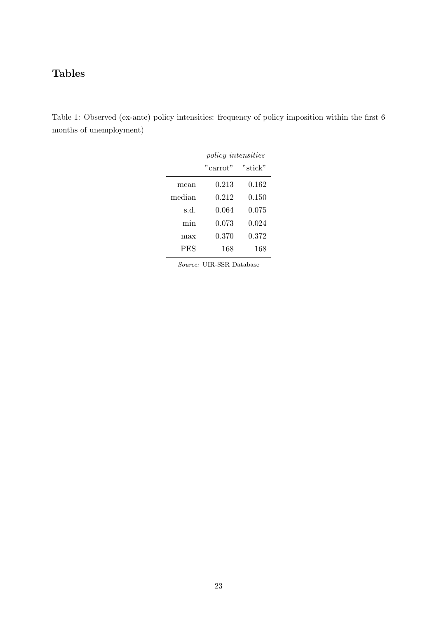## Tables

Table 1: Observed (ex-ante) policy intensities: frequency of policy imposition within the first 6 months of unemployment)

|            | <i>policy intensities</i> |         |  |
|------------|---------------------------|---------|--|
|            | "carrot"                  | "stick" |  |
| mean       | 0.213                     | 0.162   |  |
| median     | 0.212                     | 0.150   |  |
| s.d.       | 0.064                     | 0.075   |  |
| min        | 0.073                     | 0.024   |  |
| max        | 0.370                     | 0.372   |  |
| <b>PES</b> | 168                       | 168     |  |

Source: UIR-SSR Database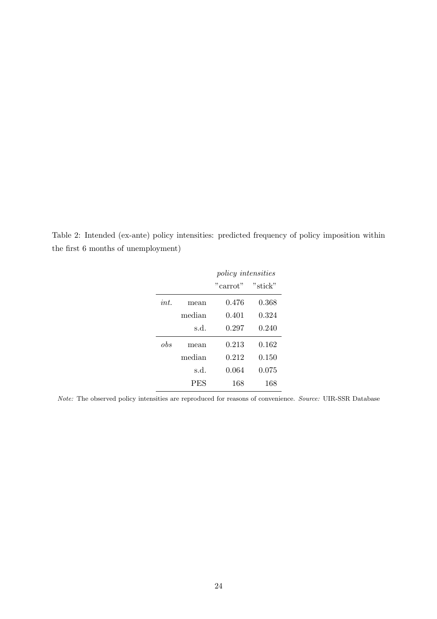Table 2: Intended (ex-ante) policy intensities: predicted frequency of policy imposition within the first 6 months of unemployment)

|         |            | <i>policy intensities</i> |         |
|---------|------------|---------------------------|---------|
|         |            | "carrot"                  | "stick" |
| $int_0$ | mean       | 0.476                     | 0.368   |
|         | median     | 0.401                     | 0.324   |
|         | s.d.       | 0.297                     | 0.240   |
| obs     | mean       | 0.213                     | 0.162   |
|         | median     | 0.212                     | 0.150   |
|         | s.d.       | 0.064                     | 0.075   |
|         | <b>PES</b> | 168                       | 168     |

Note: The observed policy intensities are reproduced for reasons of convenience. Source: UIR-SSR Database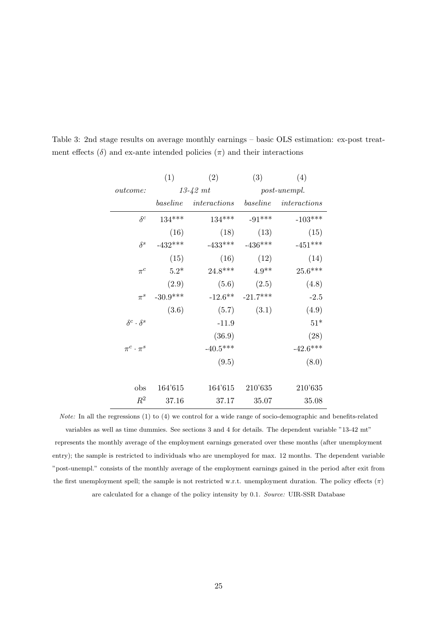|                           | (1)          | (2)          | (3)        | (4)          |  |              |  |
|---------------------------|--------------|--------------|------------|--------------|--|--------------|--|
| <i>outcome:</i>           | $13 - 42$ mt |              |            |              |  | post-unempl. |  |
|                           | baseline     | interactions | baseline   | interactions |  |              |  |
| $\delta^c$                | $134***$     | $134***$     | $-91***$   | $-103***$    |  |              |  |
|                           | (16)         | (18)         | (13)       | (15)         |  |              |  |
| $\delta^s$                | $-432***$    | $-433***$    | $-436***$  | $-451***$    |  |              |  |
|                           | (15)         | (16)         | (12)       | (14)         |  |              |  |
| $\pi^{c}$                 | $5.2*$       | 24.8***      | $4.9**$    | $25.6***$    |  |              |  |
|                           | (2.9)        | (5.6)        | (2.5)      | (4.8)        |  |              |  |
| $\pi^s$                   | $-30.9***$   | $-12.6**$    | $-21.7***$ | $-2.5$       |  |              |  |
|                           | (3.6)        | (5.7)        | (3.1)      | (4.9)        |  |              |  |
| $\delta^c \cdot \delta^s$ |              | $-11.9$      |            | $51*$        |  |              |  |
|                           |              | (36.9)       |            | (28)         |  |              |  |
| $\pi^c \cdot \pi^s$       |              | $-40.5***$   |            | $-42.6***$   |  |              |  |
|                           |              | (9.5)        |            | (8.0)        |  |              |  |
|                           |              |              |            |              |  |              |  |
| obs                       | 164'615      | 164'615      | 210'635    | 210'635      |  |              |  |
| $R^2$                     | 37.16        | 37.17        | 35.07      | 35.08        |  |              |  |

Table 3: 2nd stage results on average monthly earnings – basic OLS estimation: ex-post treatment effects  $(\delta)$  and ex-ante intended policies  $(\pi)$  and their interactions

Note: In all the regressions (1) to (4) we control for a wide range of socio-demographic and benefits-related variables as well as time dummies. See sections 3 and 4 for details. The dependent variable "13-42 mt" represents the monthly average of the employment earnings generated over these months (after unemployment entry); the sample is restricted to individuals who are unemployed for max. 12 months. The dependent variable "post-unempl." consists of the monthly average of the employment earnings gained in the period after exit from the first unemployment spell; the sample is not restricted w.r.t. unemployment duration. The policy effects  $(\pi)$ are calculated for a change of the policy intensity by 0.1. Source: UIR-SSR Database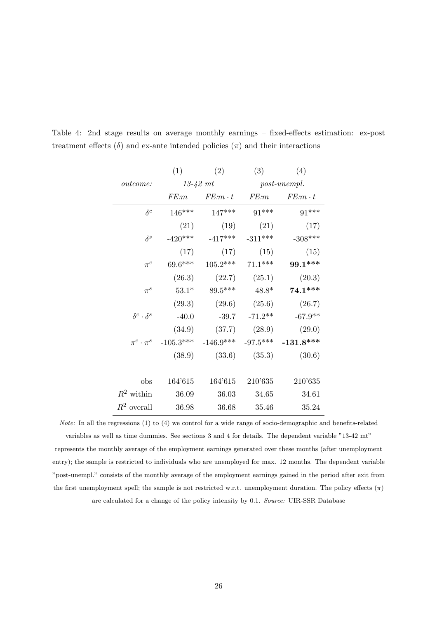|                           | (1)         | (2)                    | (3)       | (4)                   |
|---------------------------|-------------|------------------------|-----------|-----------------------|
| <i>outcome:</i>           |             | $13-42$ mt             |           | $post\text{-}unempl.$ |
|                           | FE:m        | $FE:m \cdot t$         | FE:m      | $FE:m \cdot t$        |
| $\delta^c$                | $146***$    | 147***                 | $91***$   | $91***$               |
|                           | (21)        | (19)                   | (21)      | (17)                  |
| $\delta^s$                | $-420***$   | $-417***$              | $-311***$ | $-308***$             |
|                           | (17)        | (17)                   | (15)      | (15)                  |
| $\pi^{c}$                 | $69.6***$   | $105.2***$             | $71.1***$ | 99.1 ***              |
|                           | (26.3)      | (22.7)                 | (25.1)    | (20.3)                |
| $\pi^s$                   | $53.1*$     | $89.5***$              | $48.8*$   | $74.1***$             |
|                           | (29.3)      | (29.6)                 | (25.6)    | (26.7)                |
| $\delta^c \cdot \delta^s$ | $-40.0$     | $-39.7$                | $-71.2**$ | $-67.9**$             |
|                           | (34.9)      | (37.7)                 | (28.9)    | (29.0)                |
| $\pi^c\cdot\pi^s$         | $-105.3***$ | $-146.9***$ $-97.5***$ |           | $-131.8***$           |
|                           | (38.9)      | (33.6)                 | (35.3)    | (30.6)                |
|                           |             |                        |           |                       |
| obs                       | 164'615     | 164'615                | 210'635   | 210'635               |
| $R^2$ within              | 36.09       | 36.03                  | 34.65     | 34.61                 |
| $R^2$ overall             | 36.98       | 36.68                  | 35.46     | 35.24                 |

Table 4: 2nd stage results on average monthly earnings – fixed-effects estimation: ex-post treatment effects  $(\delta)$  and ex-ante intended policies  $(\pi)$  and their interactions

Note: In all the regressions (1) to (4) we control for a wide range of socio-demographic and benefits-related variables as well as time dummies. See sections 3 and 4 for details. The dependent variable "13-42 mt" represents the monthly average of the employment earnings generated over these months (after unemployment entry); the sample is restricted to individuals who are unemployed for max. 12 months. The dependent variable "post-unempl." consists of the monthly average of the employment earnings gained in the period after exit from the first unemployment spell; the sample is not restricted w.r.t. unemployment duration. The policy effects  $(\pi)$ are calculated for a change of the policy intensity by 0.1. Source: UIR-SSR Database